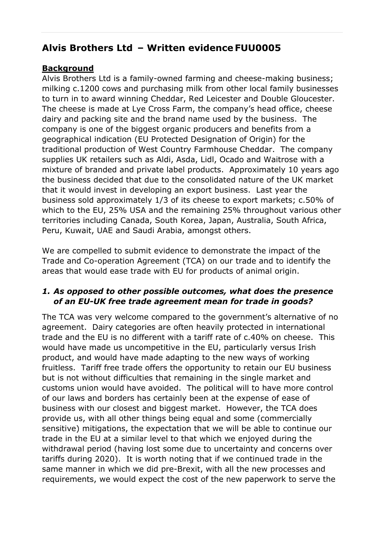# **Alvis Brothers Ltd – Written evidence FUU0005**

# **Background**

Alvis Brothers Ltd is a family-owned farming and cheese-making business; milking c.1200 cows and purchasing milk from other local family businesses to turn in to award winning Cheddar, Red Leicester and Double Gloucester. The cheese is made at Lye Cross Farm, the company's head office, cheese dairy and packing site and the brand name used by the business. The company is one of the biggest organic producers and benefits from a geographical indication (EU Protected Designation of Origin) for the traditional production of West Country Farmhouse Cheddar. The company supplies UK retailers such as Aldi, Asda, Lidl, Ocado and Waitrose with a mixture of branded and private label products. Approximately 10 years ago the business decided that due to the consolidated nature of the UK market that it would invest in developing an export business. Last year the business sold approximately 1/3 of its cheese to export markets; c.50% of which to the EU, 25% USA and the remaining 25% throughout various other territories including Canada, South Korea, Japan, Australia, South Africa, Peru, Kuwait, UAE and Saudi Arabia, amongst others.

We are compelled to submit evidence to demonstrate the impact of the Trade and Co-operation Agreement (TCA) on our trade and to identify the areas that would ease trade with EU for products of animal origin.

# *1. As opposed to other possible outcomes, what does the presence of an EU-UK free trade agreement mean for trade in goods?*

The TCA was very welcome compared to the government's alternative of no agreement. Dairy categories are often heavily protected in international trade and the EU is no different with a tariff rate of c.40% on cheese. This would have made us uncompetitive in the EU, particularly versus Irish product, and would have made adapting to the new ways of working fruitless. Tariff free trade offers the opportunity to retain our EU business but is not without difficulties that remaining in the single market and customs union would have avoided. The political will to have more control of our laws and borders has certainly been at the expense of ease of business with our closest and biggest market. However, the TCA does provide us, with all other things being equal and some (commercially sensitive) mitigations, the expectation that we will be able to continue our trade in the EU at a similar level to that which we enjoyed during the withdrawal period (having lost some due to uncertainty and concerns over tariffs during 2020). It is worth noting that if we continued trade in the same manner in which we did pre-Brexit, with all the new processes and requirements, we would expect the cost of the new paperwork to serve the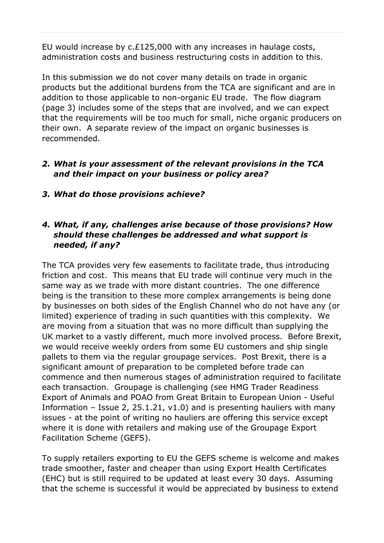EU would increase by c.£125,000 with any increases in haulage costs, administration costs and business restructuring costs in addition to this.

In this submission we do not cover many details on trade in organic products but the additional burdens from the TCA are significant and are in addition to those applicable to non-organic EU trade. The flow diagram (page 3) includes some of the steps that are involved, and we can expect that the requirements will be too much for small, niche organic producers on their own. A separate review of the impact on organic businesses is recommended.

### *2. What is your assessment of the relevant provisions in the TCA and their impact on your business or policy area?*

*3. What do those provisions achieve?*

# *4. What, if any, challenges arise because of those provisions? How should these challenges be addressed and what support is needed, if any?*

The TCA provides very few easements to facilitate trade, thus introducing friction and cost. This means that EU trade will continue very much in the same way as we trade with more distant countries. The one difference being is the transition to these more complex arrangements is being done by businesses on both sides of the English Channel who do not have any (or limited) experience of trading in such quantities with this complexity. We are moving from a situation that was no more difficult than supplying the UK market to a vastly different, much more involved process. Before Brexit, we would receive weekly orders from some EU customers and ship single pallets to them via the regular groupage services. Post Brexit, there is a significant amount of preparation to be completed before trade can commence and then numerous stages of administration required to facilitate each transaction. Groupage is challenging (see HMG Trader Readiness Export of Animals and POAO from Great Britain to European Union - Useful Information – Issue 2, 25.1.21,  $v1.0$ ) and is presenting hauliers with many issues - at the point of writing no hauliers are offering this service except where it is done with retailers and making use of the Groupage Export Facilitation Scheme (GEFS).

To supply retailers exporting to EU the GEFS scheme is welcome and makes trade smoother, faster and cheaper than using Export Health Certificates (EHC) but is still required to be updated at least every 30 days. Assuming that the scheme is successful it would be appreciated by business to extend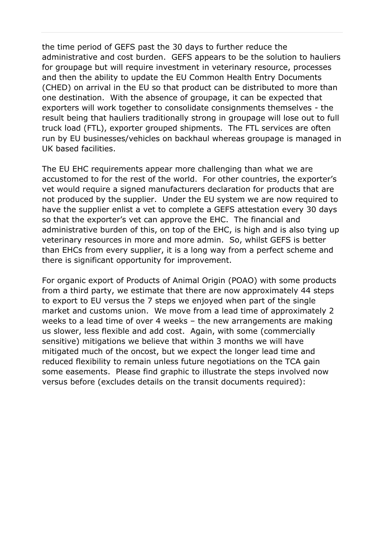the time period of GEFS past the 30 days to further reduce the administrative and cost burden. GEFS appears to be the solution to hauliers for groupage but will require investment in veterinary resource, processes and then the ability to update the EU Common Health Entry Documents (CHED) on arrival in the EU so that product can be distributed to more than one destination. With the absence of groupage, it can be expected that exporters will work together to consolidate consignments themselves - the result being that hauliers traditionally strong in groupage will lose out to full truck load (FTL), exporter grouped shipments. The FTL services are often run by EU businesses/vehicles on backhaul whereas groupage is managed in UK based facilities.

The EU EHC requirements appear more challenging than what we are accustomed to for the rest of the world. For other countries, the exporter's vet would require a signed manufacturers declaration for products that are not produced by the supplier. Under the EU system we are now required to have the supplier enlist a vet to complete a GEFS attestation every 30 days so that the exporter's vet can approve the EHC. The financial and administrative burden of this, on top of the EHC, is high and is also tying up veterinary resources in more and more admin. So, whilst GEFS is better than EHCs from every supplier, it is a long way from a perfect scheme and there is significant opportunity for improvement.

For organic export of Products of Animal Origin (POAO) with some products from a third party, we estimate that there are now approximately 44 steps to export to EU versus the 7 steps we enjoyed when part of the single market and customs union. We move from a lead time of approximately 2 weeks to a lead time of over 4 weeks – the new arrangements are making us slower, less flexible and add cost. Again, with some (commercially sensitive) mitigations we believe that within 3 months we will have mitigated much of the oncost, but we expect the longer lead time and reduced flexibility to remain unless future negotiations on the TCA gain some easements. Please find graphic to illustrate the steps involved now versus before (excludes details on the transit documents required):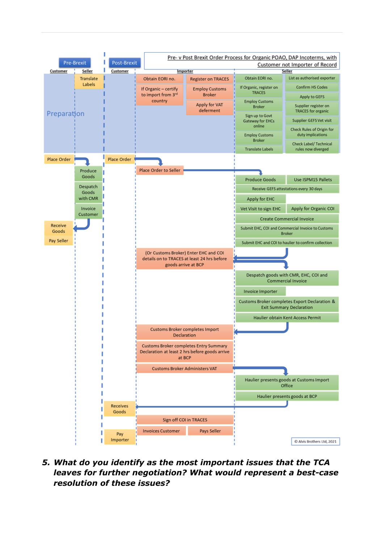

*5. What do you identify as the most important issues that the TCA leaves for further negotiation? What would represent a best-case resolution of these issues?*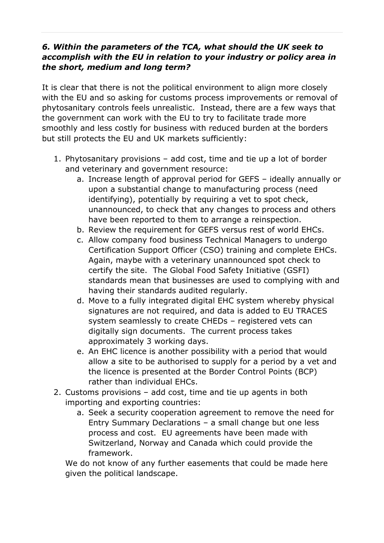### *6. Within the parameters of the TCA, what should the UK seek to accomplish with the EU in relation to your industry or policy area in the short, medium and long term?*

It is clear that there is not the political environment to align more closely with the EU and so asking for customs process improvements or removal of phytosanitary controls feels unrealistic. Instead, there are a few ways that the government can work with the EU to try to facilitate trade more smoothly and less costly for business with reduced burden at the borders but still protects the EU and UK markets sufficiently:

- 1. Phytosanitary provisions add cost, time and tie up a lot of border and veterinary and government resource:
	- a. Increase length of approval period for GEFS ideally annually or upon a substantial change to manufacturing process (need identifying), potentially by requiring a vet to spot check, unannounced, to check that any changes to process and others have been reported to them to arrange a reinspection.
	- b. Review the requirement for GEFS versus rest of world EHCs.
	- c. Allow company food business Technical Managers to undergo Certification Support Officer (CSO) training and complete EHCs. Again, maybe with a veterinary unannounced spot check to certify the site. The Global Food Safety Initiative (GSFI) standards mean that businesses are used to complying with and having their standards audited regularly.
	- d. Move to a fully integrated digital EHC system whereby physical signatures are not required, and data is added to EU TRACES system seamlessly to create CHEDs – registered vets can digitally sign documents. The current process takes approximately 3 working days.
	- e. An EHC licence is another possibility with a period that would allow a site to be authorised to supply for a period by a vet and the licence is presented at the Border Control Points (BCP) rather than individual EHCs.
- 2. Customs provisions add cost, time and tie up agents in both importing and exporting countries:
	- a. Seek a security cooperation agreement to remove the need for Entry Summary Declarations – a small change but one less process and cost. EU agreements have been made with Switzerland, Norway and Canada which could provide the framework.

We do not know of any further easements that could be made here given the political landscape.